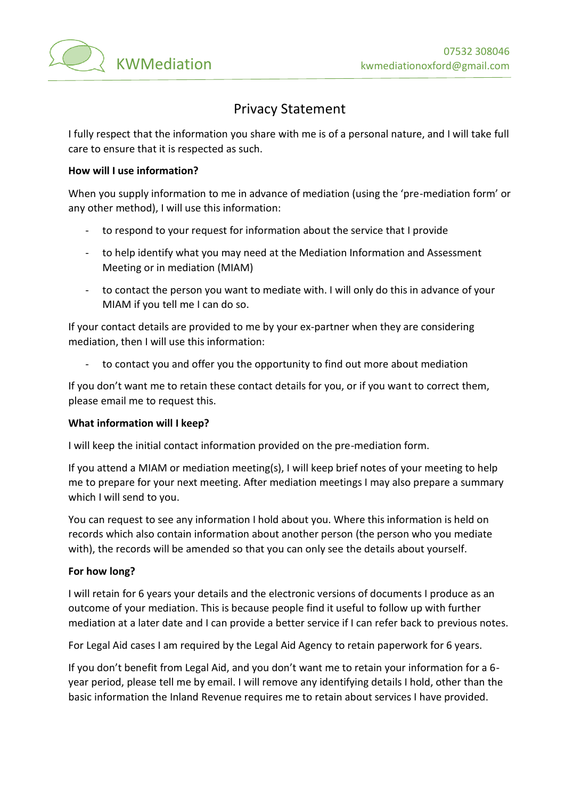

# Privacy Statement

I fully respect that the information you share with me is of a personal nature, and I will take full care to ensure that it is respected as such.

#### **How will I use information?**

When you supply information to me in advance of mediation (using the 'pre-mediation form' or any other method), I will use this information:

- to respond to your request for information about the service that I provide
- to help identify what you may need at the Mediation Information and Assessment Meeting or in mediation (MIAM)
- to contact the person you want to mediate with. I will only do this in advance of your MIAM if you tell me I can do so.

If your contact details are provided to me by your ex-partner when they are considering mediation, then I will use this information:

- to contact you and offer you the opportunity to find out more about mediation

If you don't want me to retain these contact details for you, or if you want to correct them, please email me to request this.

#### **What information will I keep?**

I will keep the initial contact information provided on the pre-mediation form.

If you attend a MIAM or mediation meeting(s), I will keep brief notes of your meeting to help me to prepare for your next meeting. After mediation meetings I may also prepare a summary which I will send to you.

You can request to see any information I hold about you. Where this information is held on records which also contain information about another person (the person who you mediate with), the records will be amended so that you can only see the details about yourself.

#### **For how long?**

I will retain for 6 years your details and the electronic versions of documents I produce as an outcome of your mediation. This is because people find it useful to follow up with further mediation at a later date and I can provide a better service if I can refer back to previous notes.

For Legal Aid cases I am required by the Legal Aid Agency to retain paperwork for 6 years.

If you don't benefit from Legal Aid, and you don't want me to retain your information for a 6 year period, please tell me by email. I will remove any identifying details I hold, other than the basic information the Inland Revenue requires me to retain about services I have provided.